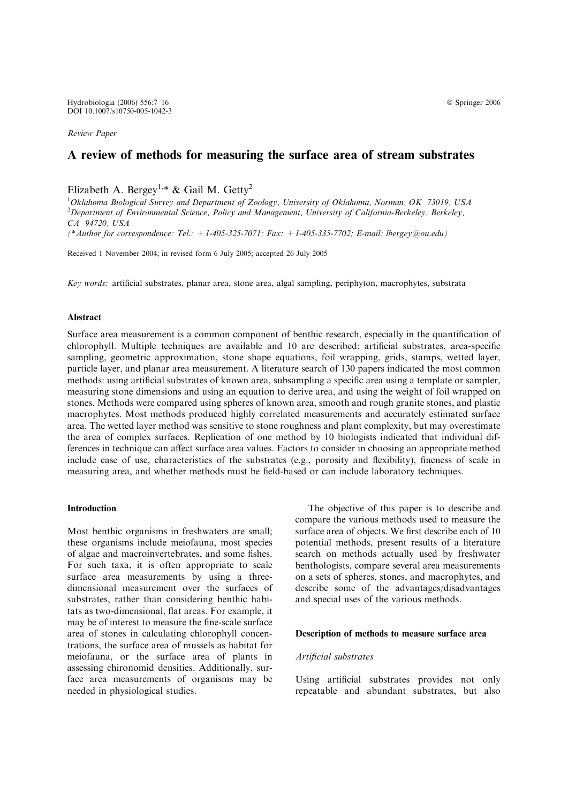Review Paper

# A review of methods for measuring the surface area of stream substrates

Elizabeth A. Bergey<sup>1,\*</sup> & Gail M. Getty<sup>2</sup>

 $1$ Oklahoma Biological Survey and Department of Zoology, University of Oklahoma, Norman, OK 73019, USA <sup>2</sup> Department of Environmental Science, Policy and Management, University of California-Berkeley, Berkeley, CA 94720, USA

(\*Author for correspondence: Tel.: +1-405-325-7071; Fax: +1-405-335-7702; E-mail: lbergey@ou.edu)

Received 1 November 2004; in revised form 6 July 2005; accepted 26 July 2005

Key words: artificial substrates, planar area, stone area, algal sampling, periphyton, macrophytes, substrata

# Abstract

Surface area measurement is a common component of benthic research, especially in the quantification of chlorophyll. Multiple techniques are available and 10 are described: artificial substrates, area-specific sampling, geometric approximation, stone shape equations, foil wrapping, grids, stamps, wetted layer, particle layer, and planar area measurement. A literature search of 130 papers indicated the most common methods: using artificial substrates of known area, subsampling a specific area using a template or sampler, measuring stone dimensions and using an equation to derive area, and using the weight of foil wrapped on stones. Methods were compared using spheres of known area, smooth and rough granite stones, and plastic macrophytes. Most methods produced highly correlated measurements and accurately estimated surface area. The wetted layer method was sensitive to stone roughness and plant complexity, but may overestimate the area of complex surfaces. Replication of one method by 10 biologists indicated that individual differences in technique can affect surface area values. Factors to consider in choosing an appropriate method include ease of use, characteristics of the substrates (e.g., porosity and flexibility), fineness of scale in measuring area, and whether methods must be field-based or can include laboratory techniques.

#### Introduction

Most benthic organisms in freshwaters are small; these organisms include meiofauna, most species of algae and macroinvertebrates, and some fishes. For such taxa, it is often appropriate to scale surface area measurements by using a threedimensional measurement over the surfaces of substrates, rather than considering benthic habitats as two-dimensional, flat areas. For example, it may be of interest to measure the fine-scale surface area of stones in calculating chlorophyll concentrations, the surface area of mussels as habitat for meiofauna, or the surface area of plants in assessing chironomid densities. Additionally, surface area measurements of organisms may be needed in physiological studies.

The objective of this paper is to describe and compare the various methods used to measure the surface area of objects. We first describe each of 10 potential methods, present results of a literature search on methods actually used by freshwater benthologists, compare several area measurements on a sets of spheres, stones, and macrophytes, and describe some of the advantages/disadvantages and special uses of the various methods.

#### Description of methods to measure surface area

#### Artificial substrates

Using artificial substrates provides not only repeatable and abundant substrates, but also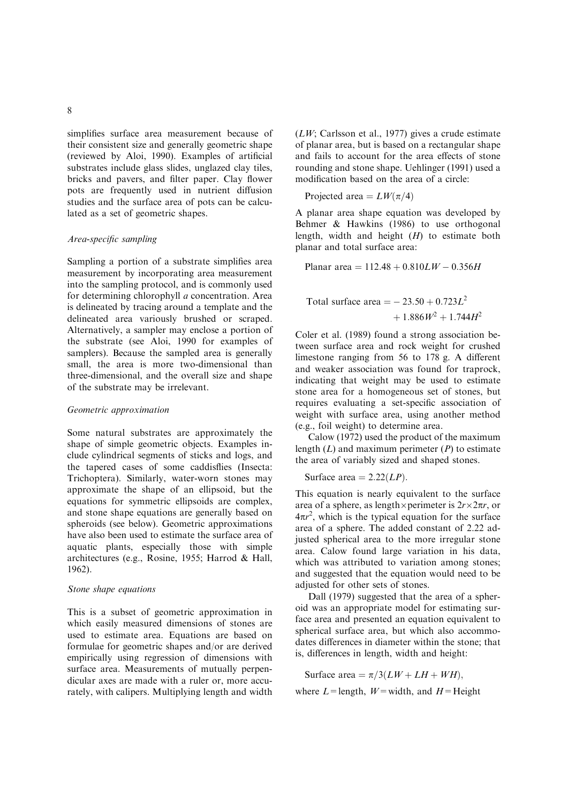simplifies surface area measurement because of their consistent size and generally geometric shape (reviewed by Aloi, 1990). Examples of artificial substrates include glass slides, unglazed clay tiles, bricks and pavers, and filter paper. Clay flower pots are frequently used in nutrient diffusion studies and the surface area of pots can be calculated as a set of geometric shapes.

## Area-specific sampling

Sampling a portion of a substrate simplifies area measurement by incorporating area measurement into the sampling protocol, and is commonly used for determining chlorophyll a concentration. Area is delineated by tracing around a template and the delineated area variously brushed or scraped. Alternatively, a sampler may enclose a portion of the substrate (see Aloi, 1990 for examples of samplers). Because the sampled area is generally small, the area is more two-dimensional than three-dimensional, and the overall size and shape of the substrate may be irrelevant.

## Geometric approximation

Some natural substrates are approximately the shape of simple geometric objects. Examples include cylindrical segments of sticks and logs, and the tapered cases of some caddisflies (Insecta: Trichoptera). Similarly, water-worn stones may approximate the shape of an ellipsoid, but the equations for symmetric ellipsoids are complex, and stone shape equations are generally based on spheroids (see below). Geometric approximations have also been used to estimate the surface area of aquatic plants, especially those with simple architectures (e.g., Rosine, 1955; Harrod & Hall, 1962).

# Stone shape equations

This is a subset of geometric approximation in which easily measured dimensions of stones are used to estimate area. Equations are based on formulae for geometric shapes and/or are derived empirically using regression of dimensions with surface area. Measurements of mutually perpendicular axes are made with a ruler or, more accurately, with calipers. Multiplying length and width

 $(LW)$ ; Carlsson et al., 1977) gives a crude estimate of planar area, but is based on a rectangular shape and fails to account for the area effects of stone rounding and stone shape. Uehlinger (1991) used a modification based on the area of a circle:

Projected area  $= LW(\pi/4)$ 

A planar area shape equation was developed by Behmer & Hawkins (1986) to use orthogonal length, width and height  $(H)$  to estimate both planar and total surface area:

Planar area =  $112.48 + 0.810LW - 0.356H$ 

Total surface area = 
$$
-23.50 + 0.723L^2
$$
  
+  $1.886W^2 + 1.744H^2$ 

Coler et al. (1989) found a strong association between surface area and rock weight for crushed limestone ranging from 56 to 178 g. A different and weaker association was found for traprock, indicating that weight may be used to estimate stone area for a homogeneous set of stones, but requires evaluating a set-specific association of weight with surface area, using another method (e.g., foil weight) to determine area.

Calow (1972) used the product of the maximum length  $(L)$  and maximum perimeter  $(P)$  to estimate the area of variably sized and shaped stones.

Surface area  $= 2.22(LP)$ .

This equation is nearly equivalent to the surface area of a sphere, as length  $\times$  perimeter is  $2r \times 2\pi r$ , or  $4\pi r^2$ , which is the typical equation for the surface area of a sphere. The added constant of 2.22 adjusted spherical area to the more irregular stone area. Calow found large variation in his data, which was attributed to variation among stones; and suggested that the equation would need to be adjusted for other sets of stones.

Dall (1979) suggested that the area of a spheroid was an appropriate model for estimating surface area and presented an equation equivalent to spherical surface area, but which also accommodates differences in diameter within the stone; that is, differences in length, width and height:

Surface area  $= \pi/3(LW + LH + WH),$ 

where  $L =$ length,  $W =$ width, and  $H =$ Height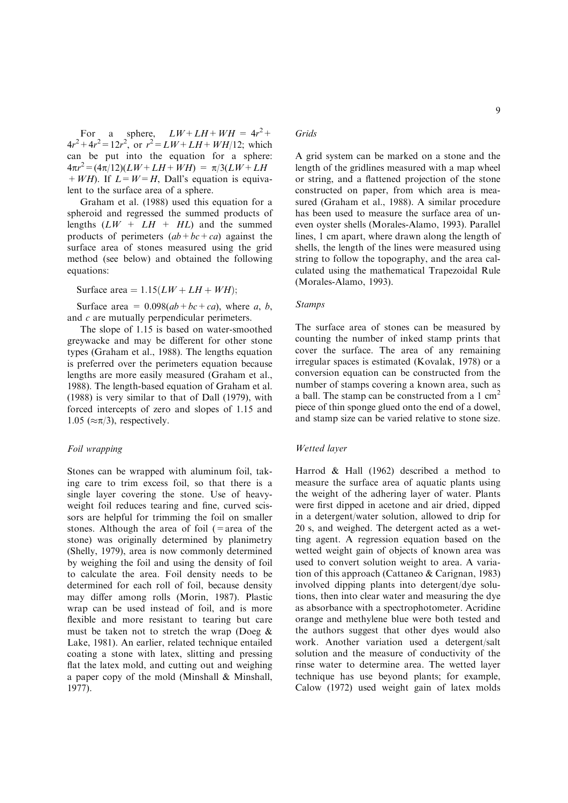For a sphere,  $LW + LH + WH = 4r^2 +$  $4r^2 + 4r^2 = 12r^2$ , or  $r^2 = LW + LH + WH/12$ ; which can be put into the equation for a sphere:  $4\pi r^2 = (4\pi/12)(LW + LH + WH) = \pi/3(LW + LH)$  $+WH$ ). If  $L=W=H$ , Dall's equation is equivalent to the surface area of a sphere.

Graham et al. (1988) used this equation for a spheroid and regressed the summed products of lengths  $(LW + LH + HL)$  and the summed products of perimeters  $(ab + bc + ca)$  against the surface area of stones measured using the grid method (see below) and obtained the following equations:

Surface area =  $1.15(LW + LH + WH);$ 

Surface area =  $0.098(ab + bc + ca)$ , where a, b, and c are mutually perpendicular perimeters.

The slope of 1.15 is based on water-smoothed greywacke and may be different for other stone types (Graham et al., 1988). The lengths equation is preferred over the perimeters equation because lengths are more easily measured (Graham et al., 1988). The length-based equation of Graham et al. (1988) is very similar to that of Dall (1979), with forced intercepts of zero and slopes of 1.15 and 1.05 ( $\approx \pi/3$ ), respectively.

#### Foil wrapping

Stones can be wrapped with aluminum foil, taking care to trim excess foil, so that there is a single layer covering the stone. Use of heavyweight foil reduces tearing and fine, curved scissors are helpful for trimming the foil on smaller stones. Although the area of foil  $(=$ area of the stone) was originally determined by planimetry (Shelly, 1979), area is now commonly determined by weighing the foil and using the density of foil to calculate the area. Foil density needs to be determined for each roll of foil, because density may differ among rolls (Morin, 1987). Plastic wrap can be used instead of foil, and is more flexible and more resistant to tearing but care must be taken not to stretch the wrap (Doeg & Lake, 1981). An earlier, related technique entailed coating a stone with latex, slitting and pressing flat the latex mold, and cutting out and weighing a paper copy of the mold (Minshall & Minshall, 1977).

# Grids

A grid system can be marked on a stone and the length of the gridlines measured with a map wheel or string, and a flattened projection of the stone constructed on paper, from which area is measured (Graham et al., 1988). A similar procedure has been used to measure the surface area of uneven oyster shells (Morales-Alamo, 1993). Parallel lines, 1 cm apart, where drawn along the length of shells, the length of the lines were measured using string to follow the topography, and the area calculated using the mathematical Trapezoidal Rule (Morales-Alamo, 1993).

## Stamps

The surface area of stones can be measured by counting the number of inked stamp prints that cover the surface. The area of any remaining irregular spaces is estimated (Kovalak, 1978) or a conversion equation can be constructed from the number of stamps covering a known area, such as a ball. The stamp can be constructed from a  $1 \text{ cm}^2$ piece of thin sponge glued onto the end of a dowel, and stamp size can be varied relative to stone size.

## Wetted layer

Harrod & Hall (1962) described a method to measure the surface area of aquatic plants using the weight of the adhering layer of water. Plants were first dipped in acetone and air dried, dipped in a detergent/water solution, allowed to drip for 20 s, and weighed. The detergent acted as a wetting agent. A regression equation based on the wetted weight gain of objects of known area was used to convert solution weight to area. A variation of this approach (Cattaneo & Carignan, 1983) involved dipping plants into detergent/dye solutions, then into clear water and measuring the dye as absorbance with a spectrophotometer. Acridine orange and methylene blue were both tested and the authors suggest that other dyes would also work. Another variation used a detergent/salt solution and the measure of conductivity of the rinse water to determine area. The wetted layer technique has use beyond plants; for example, Calow (1972) used weight gain of latex molds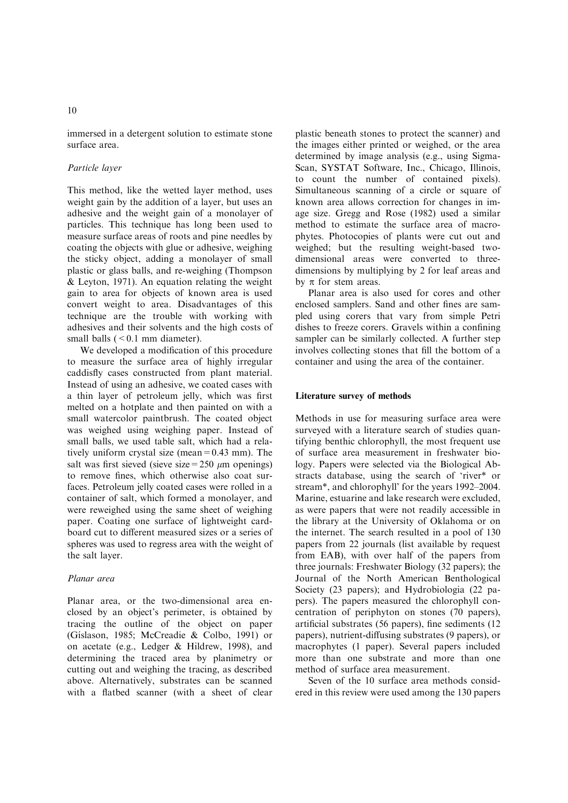immersed in a detergent solution to estimate stone surface area.

# Particle layer

This method, like the wetted layer method, uses weight gain by the addition of a layer, but uses an adhesive and the weight gain of a monolayer of particles. This technique has long been used to measure surface areas of roots and pine needles by coating the objects with glue or adhesive, weighing the sticky object, adding a monolayer of small plastic or glass balls, and re-weighing (Thompson & Leyton, 1971). An equation relating the weight gain to area for objects of known area is used convert weight to area. Disadvantages of this technique are the trouble with working with adhesives and their solvents and the high costs of small balls  $( $0.1 \text{ mm}$  diameter).$ 

We developed a modification of this procedure to measure the surface area of highly irregular caddisfly cases constructed from plant material. Instead of using an adhesive, we coated cases with a thin layer of petroleum jelly, which was first melted on a hotplate and then painted on with a small watercolor paintbrush. The coated object was weighed using weighing paper. Instead of small balls, we used table salt, which had a relatively uniform crystal size (mean=0.43 mm). The salt was first sieved (sieve size =  $250 \mu m$  openings) to remove fines, which otherwise also coat surfaces. Petroleum jelly coated cases were rolled in a container of salt, which formed a monolayer, and were reweighed using the same sheet of weighing paper. Coating one surface of lightweight cardboard cut to different measured sizes or a series of spheres was used to regress area with the weight of the salt layer.

# Planar area

Planar area, or the two-dimensional area enclosed by an object's perimeter, is obtained by tracing the outline of the object on paper (Gíslason, 1985; McCreadie & Colbo, 1991) or on acetate (e.g., Ledger & Hildrew, 1998), and determining the traced area by planimetry or cutting out and weighing the tracing, as described above. Alternatively, substrates can be scanned with a flatbed scanner (with a sheet of clear

plastic beneath stones to protect the scanner) and the images either printed or weighed, or the area determined by image analysis (e.g., using Sigma-Scan, SYSTAT Software, Inc., Chicago, Illinois, to count the number of contained pixels). Simultaneous scanning of a circle or square of known area allows correction for changes in image size. Gregg and Rose (1982) used a similar method to estimate the surface area of macrophytes. Photocopies of plants were cut out and weighed; but the resulting weight-based twodimensional areas were converted to threedimensions by multiplying by 2 for leaf areas and by  $\pi$  for stem areas.

Planar area is also used for cores and other enclosed samplers. Sand and other fines are sampled using corers that vary from simple Petri dishes to freeze corers. Gravels within a confining sampler can be similarly collected. A further step involves collecting stones that fill the bottom of a container and using the area of the container.

## Literature survey of methods

Methods in use for measuring surface area were surveyed with a literature search of studies quantifying benthic chlorophyll, the most frequent use of surface area measurement in freshwater biology. Papers were selected via the Biological Abstracts database, using the search of 'river\* or stream\*, and chlorophyll' for the years 1992–2004. Marine, estuarine and lake research were excluded, as were papers that were not readily accessible in the library at the University of Oklahoma or on the internet. The search resulted in a pool of 130 papers from 22 journals (list available by request from EAB), with over half of the papers from three journals: Freshwater Biology (32 papers); the Journal of the North American Benthological Society (23 papers); and Hydrobiologia (22 papers). The papers measured the chlorophyll concentration of periphyton on stones (70 papers), artificial substrates (56 papers), fine sediments (12 papers), nutrient-diffusing substrates (9 papers), or macrophytes (1 paper). Several papers included more than one substrate and more than one method of surface area measurement.

Seven of the 10 surface area methods considered in this review were used among the 130 papers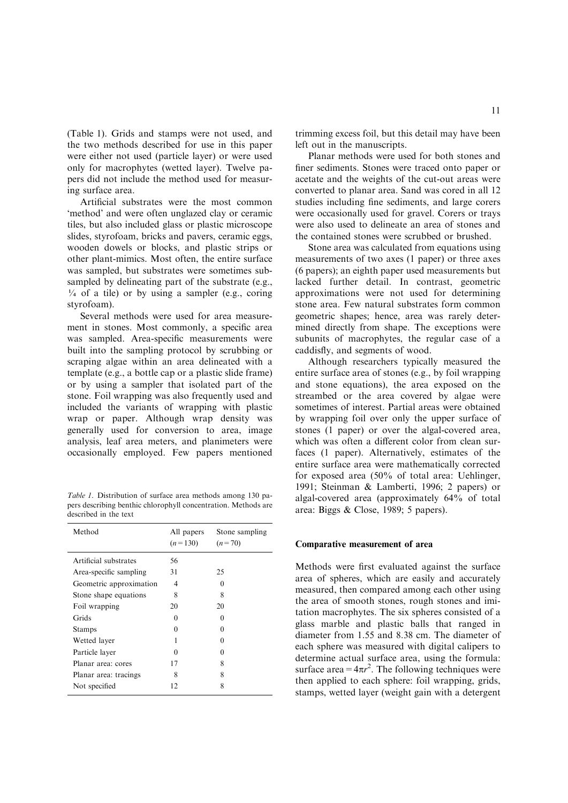(Table 1). Grids and stamps were not used, and the two methods described for use in this paper were either not used (particle layer) or were used only for macrophytes (wetted layer). Twelve papers did not include the method used for measuring surface area.

Artificial substrates were the most common 'method' and were often unglazed clay or ceramic tiles, but also included glass or plastic microscope slides, styrofoam, bricks and pavers, ceramic eggs, wooden dowels or blocks, and plastic strips or other plant-mimics. Most often, the entire surface was sampled, but substrates were sometimes subsampled by delineating part of the substrate (e.g.,  $\frac{1}{4}$  of a tile) or by using a sampler (e.g., coring styrofoam).

Several methods were used for area measurement in stones. Most commonly, a specific area was sampled. Area-specific measurements were built into the sampling protocol by scrubbing or scraping algae within an area delineated with a template (e.g., a bottle cap or a plastic slide frame) or by using a sampler that isolated part of the stone. Foil wrapping was also frequently used and included the variants of wrapping with plastic wrap or paper. Although wrap density was generally used for conversion to area, image analysis, leaf area meters, and planimeters were occasionally employed. Few papers mentioned

Table 1. Distribution of surface area methods among 130 papers describing benthic chlorophyll concentration. Methods are described in the text

| All papers<br>$(n=130)$ | Stone sampling<br>$(n=70)$ |
|-------------------------|----------------------------|
| 56                      |                            |
| 31                      | 25                         |
| 4                       | $\mathbf{0}$               |
| 8                       | 8                          |
| 20                      | 20                         |
| $\Omega$                | 0                          |
| $\Omega$                | 0                          |
|                         | Ω                          |
| $\Omega$                | 0                          |
| 17                      | 8                          |
| 8                       | 8                          |
| 12                      | 8                          |
|                         |                            |

trimming excess foil, but this detail may have been left out in the manuscripts.

Planar methods were used for both stones and finer sediments. Stones were traced onto paper or acetate and the weights of the cut-out areas were converted to planar area. Sand was cored in all 12 studies including fine sediments, and large corers were occasionally used for gravel. Corers or trays were also used to delineate an area of stones and the contained stones were scrubbed or brushed.

Stone area was calculated from equations using measurements of two axes (1 paper) or three axes (6 papers); an eighth paper used measurements but lacked further detail. In contrast, geometric approximations were not used for determining stone area. Few natural substrates form common geometric shapes; hence, area was rarely determined directly from shape. The exceptions were subunits of macrophytes, the regular case of a caddisfly, and segments of wood.

Although researchers typically measured the entire surface area of stones (e.g., by foil wrapping and stone equations), the area exposed on the streambed or the area covered by algae were sometimes of interest. Partial areas were obtained by wrapping foil over only the upper surface of stones (1 paper) or over the algal-covered area, which was often a different color from clean surfaces (1 paper). Alternatively, estimates of the entire surface area were mathematically corrected for exposed area (50% of total area: Uehlinger, 1991; Steinman & Lamberti, 1996; 2 papers) or algal-covered area (approximately 64% of total area: Biggs & Close, 1989; 5 papers).

#### Comparative measurement of area

Methods were first evaluated against the surface area of spheres, which are easily and accurately measured, then compared among each other using the area of smooth stones, rough stones and imitation macrophytes. The six spheres consisted of a glass marble and plastic balls that ranged in diameter from 1.55 and 8.38 cm. The diameter of each sphere was measured with digital calipers to determine actual surface area, using the formula: surface area =  $4\pi r^2$ . The following techniques were then applied to each sphere: foil wrapping, grids, stamps, wetted layer (weight gain with a detergent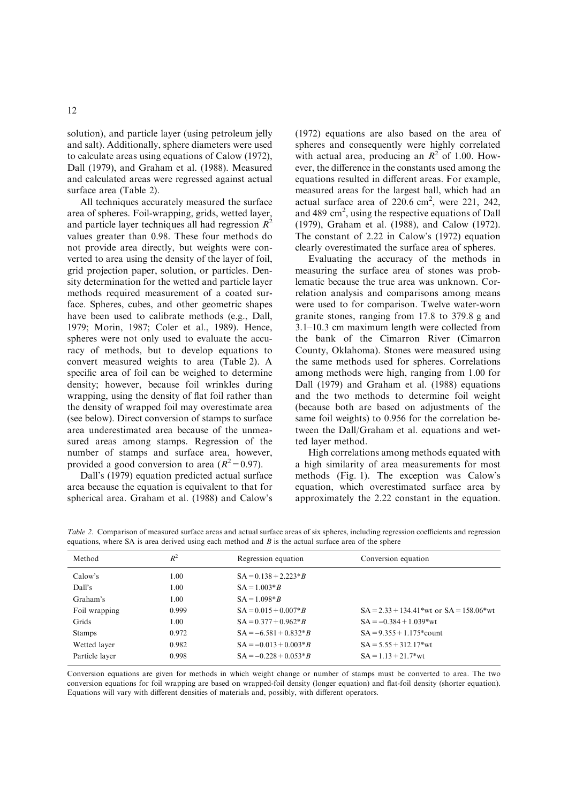solution), and particle layer (using petroleum jelly and salt). Additionally, sphere diameters were used to calculate areas using equations of Calow (1972), Dall (1979), and Graham et al. (1988). Measured and calculated areas were regressed against actual surface area (Table 2).

All techniques accurately measured the surface area of spheres. Foil-wrapping, grids, wetted layer, and particle layer techniques all had regression  $R^2$ values greater than 0.98. These four methods do not provide area directly, but weights were converted to area using the density of the layer of foil, grid projection paper, solution, or particles. Density determination for the wetted and particle layer methods required measurement of a coated surface. Spheres, cubes, and other geometric shapes have been used to calibrate methods (e.g., Dall, 1979; Morin, 1987; Coler et al., 1989). Hence, spheres were not only used to evaluate the accuracy of methods, but to develop equations to convert measured weights to area (Table 2). A specific area of foil can be weighed to determine density; however, because foil wrinkles during wrapping, using the density of flat foil rather than the density of wrapped foil may overestimate area (see below). Direct conversion of stamps to surface area underestimated area because of the unmeasured areas among stamps. Regression of the number of stamps and surface area, however, provided a good conversion to area  $(R^2=0.97)$ .

Dall's (1979) equation predicted actual surface area because the equation is equivalent to that for spherical area. Graham et al. (1988) and Calow's (1972) equations are also based on the area of spheres and consequently were highly correlated with actual area, producing an  $R^2$  of 1.00. However, the difference in the constants used among the equations resulted in different areas. For example, measured areas for the largest ball, which had an actual surface area of  $220.6$  cm<sup>2</sup>, were 221, 242, and 489 cm<sup>2</sup>, using the respective equations of Dall (1979), Graham et al. (1988), and Calow (1972). The constant of 2.22 in Calow's (1972) equation clearly overestimated the surface area of spheres.

Evaluating the accuracy of the methods in measuring the surface area of stones was problematic because the true area was unknown. Correlation analysis and comparisons among means were used to for comparison. Twelve water-worn granite stones, ranging from 17.8 to 379.8 g and 3.1–10.3 cm maximum length were collected from the bank of the Cimarron River (Cimarron County, Oklahoma). Stones were measured using the same methods used for spheres. Correlations among methods were high, ranging from 1.00 for Dall (1979) and Graham et al. (1988) equations and the two methods to determine foil weight (because both are based on adjustments of the same foil weights) to 0.956 for the correlation between the Dall/Graham et al. equations and wetted layer method.

High correlations among methods equated with a high similarity of area measurements for most methods (Fig. 1). The exception was Calow's equation, which overestimated surface area by approximately the 2.22 constant in the equation.

| Method        | $R^2$ | Regression equation       | Conversion equation                             |
|---------------|-------|---------------------------|-------------------------------------------------|
| Calow's       | 1.00  | $SA = 0.138 + 2.223 * B$  |                                                 |
| Dall's        | 1.00  | $SA = 1.003 * B$          |                                                 |
| Graham's      | 1.00  | $SA = 1.098 * B$          |                                                 |
| Foil wrapping | 0.999 | $SA = 0.015 + 0.007 * B$  | $SA = 2.33 + 134.41$ * wt or $SA = 158.06$ * wt |
| Grids         | 1.00  | $SA = 0.377 + 0.962 * B$  | $SA = -0.384 + 1.039*wt$                        |
| <b>Stamps</b> | 0.972 | $SA = -6.581 + 0.832 * B$ | $SA = 9.355 + 1.175$ *count                     |
| Wetted laver  | 0.982 | $SA = -0.013 + 0.003 * B$ | $SA = 5.55 + 312.17$ <sup>*</sup> wt            |

Table 2. Comparison of measured surface areas and actual surface areas of six spheres, including regression coefficients and regression equations, where SA is area derived using each method and  $B$  is the actual surface area of the sphere

Conversion equations are given for methods in which weight change or number of stamps must be converted to area. The two conversion equations for foil wrapping are based on wrapped-foil density (longer equation) and flat-foil density (shorter equation). Equations will vary with different densities of materials and, possibly, with different operators.

Particle layer 0.998  $SA = -0.228 + 0.053*B$   $SA = 1.13 + 21.7*wt$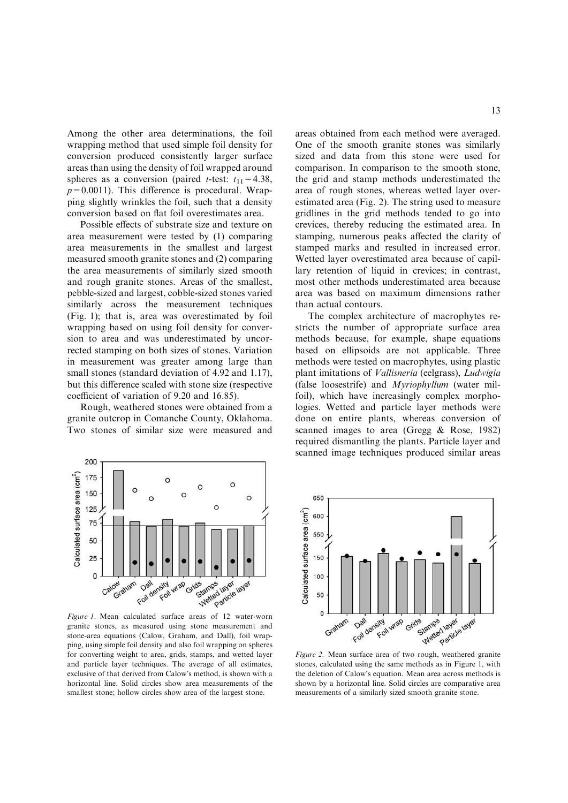Among the other area determinations, the foil wrapping method that used simple foil density for conversion produced consistently larger surface areas than using the density of foil wrapped around spheres as a conversion (paired *t*-test:  $t_{11} = 4.38$ ,  $p=0.0011$ ). This difference is procedural. Wrapping slightly wrinkles the foil, such that a density conversion based on flat foil overestimates area.

Possible effects of substrate size and texture on area measurement were tested by (1) comparing area measurements in the smallest and largest measured smooth granite stones and (2) comparing the area measurements of similarly sized smooth and rough granite stones. Areas of the smallest, pebble-sized and largest, cobble-sized stones varied similarly across the measurement techniques (Fig. 1); that is, area was overestimated by foil wrapping based on using foil density for conversion to area and was underestimated by uncorrected stamping on both sizes of stones. Variation in measurement was greater among large than small stones (standard deviation of 4.92 and 1.17), but this difference scaled with stone size (respective coefficient of variation of 9.20 and 16.85).

Rough, weathered stones were obtained from a granite outcrop in Comanche County, Oklahoma. Two stones of similar size were measured and areas obtained from each method were averaged. One of the smooth granite stones was similarly sized and data from this stone were used for comparison. In comparison to the smooth stone, the grid and stamp methods underestimated the area of rough stones, whereas wetted layer overestimated area (Fig. 2). The string used to measure gridlines in the grid methods tended to go into crevices, thereby reducing the estimated area. In stamping, numerous peaks affected the clarity of stamped marks and resulted in increased error. Wetted layer overestimated area because of capillary retention of liquid in crevices; in contrast, most other methods underestimated area because area was based on maximum dimensions rather than actual contours.

The complex architecture of macrophytes restricts the number of appropriate surface area methods because, for example, shape equations based on ellipsoids are not applicable. Three methods were tested on macrophytes, using plastic plant imitations of Vallisneria (eelgrass), Ludwigia (false loosestrife) and Myriophyllum (water milfoil), which have increasingly complex morphologies. Wetted and particle layer methods were done on entire plants, whereas conversion of scanned images to area (Gregg & Rose, 1982) required dismantling the plants. Particle layer and scanned image techniques produced similar areas



granite stones, as measured using stone measurement and stone-area equations (Calow, Graham, and Dall), foil wrapping, using simple foil density and also foil wrapping on spheres for converting weight to area, grids, stamps, and wetted layer and particle layer techniques. The average of all estimates, exclusive of that derived from Calow's method, is shown with a horizontal line. Solid circles show area measurements of the smallest stone; hollow circles show area of the largest stone.



Figure 2. Mean surface area of two rough, weathered granite stones, calculated using the same methods as in Figure 1, with the deletion of Calow's equation. Mean area across methods is shown by a horizontal line. Solid circles are comparative area measurements of a similarly sized smooth granite stone.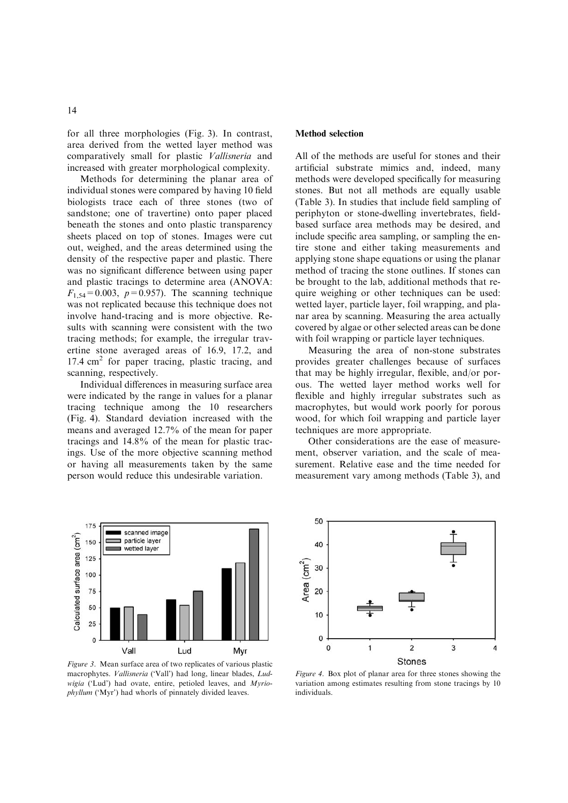for all three morphologies (Fig. 3). In contrast, area derived from the wetted layer method was comparatively small for plastic Vallisneria and increased with greater morphological complexity.

Methods for determining the planar area of individual stones were compared by having 10 field biologists trace each of three stones (two of sandstone; one of travertine) onto paper placed beneath the stones and onto plastic transparency sheets placed on top of stones. Images were cut out, weighed, and the areas determined using the density of the respective paper and plastic. There was no significant difference between using paper and plastic tracings to determine area (ANOVA:  $F_{1,54} = 0.003$ ,  $p = 0.957$ ). The scanning technique was not replicated because this technique does not involve hand-tracing and is more objective. Results with scanning were consistent with the two tracing methods; for example, the irregular travertine stone averaged areas of 16.9, 17.2, and  $17.4 \text{ cm}^2$  for paper tracing, plastic tracing, and scanning, respectively.

Individual differences in measuring surface area were indicated by the range in values for a planar tracing technique among the 10 researchers (Fig. 4). Standard deviation increased with the means and averaged 12.7% of the mean for paper tracings and 14.8% of the mean for plastic tracings. Use of the more objective scanning method or having all measurements taken by the same person would reduce this undesirable variation.



Figure 3. Mean surface area of two replicates of various plastic macrophytes. Vallisneria ('Vall') had long, linear blades, Ludwigia ('Lud') had ovate, entire, petioled leaves, and Myriophyllum ('Myr') had whorls of pinnately divided leaves.

## Method selection

All of the methods are useful for stones and their artificial substrate mimics and, indeed, many methods were developed specifically for measuring stones. But not all methods are equally usable (Table 3). In studies that include field sampling of periphyton or stone-dwelling invertebrates, fieldbased surface area methods may be desired, and include specific area sampling, or sampling the entire stone and either taking measurements and applying stone shape equations or using the planar method of tracing the stone outlines. If stones can be brought to the lab, additional methods that require weighing or other techniques can be used: wetted layer, particle layer, foil wrapping, and planar area by scanning. Measuring the area actually covered by algae or other selected areas can be done with foil wrapping or particle layer techniques.

Measuring the area of non-stone substrates provides greater challenges because of surfaces that may be highly irregular, flexible, and/or porous. The wetted layer method works well for flexible and highly irregular substrates such as macrophytes, but would work poorly for porous wood, for which foil wrapping and particle layer techniques are more appropriate.

Other considerations are the ease of measurement, observer variation, and the scale of measurement. Relative ease and the time needed for measurement vary among methods (Table 3), and



Figure 4. Box plot of planar area for three stones showing the variation among estimates resulting from stone tracings by 10 individuals.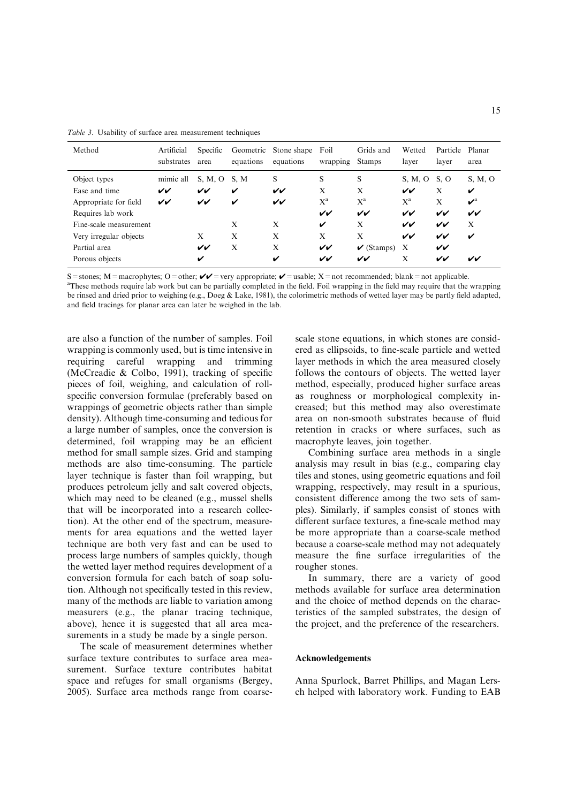| Method                 | Artificial<br>substrates | Specific<br>area | Geometric<br>equations | Stone shape<br>equations | Foil<br>wrapping | Grids and<br><b>Stamps</b> | Wetted<br>layer           | Particle<br>layer | Planar<br>area                  |
|------------------------|--------------------------|------------------|------------------------|--------------------------|------------------|----------------------------|---------------------------|-------------------|---------------------------------|
| Object types           | mimic all                | S, M, O          | S.M                    | S                        | S                | S                          | S, M, O                   | S. O              | S, M, O                         |
| Ease and time          | vv                       | VV               | ✓                      | VV                       | X                | X                          | VV                        | X                 | V                               |
| Appropriate for field  | VV                       | VV               | V                      | VV                       | $X^a$            | $X^a$                      | $X^a$                     | X                 | $\boldsymbol{\nu}^{\mathrm{a}}$ |
| Requires lab work      |                          |                  |                        |                          | vv               | VV                         | VV                        | VV                | VV                              |
| Fine-scale measurement |                          |                  | X                      | X                        | V                | X                          | VV                        | VV                | X                               |
| Very irregular objects |                          | X                | X                      | X                        | X                | X                          | VV                        | VV                | ✓                               |
| Partial area           |                          | VV               | X                      | X                        | VV               | $\checkmark$ (Stamps)      | $\boldsymbol{\mathrm{X}}$ | $\checkmark$      |                                 |
| Porous objects         |                          | v                |                        | V                        | VV               | vv                         | X                         | vv                | vv                              |

Table 3. Usability of surface area measurement techniques

S = stones; M = macrophytes; O = other;  $V = \text{very appropriate}$ ;  $V = \text{usable}$ ; X = not recommended; blank = not applicable.

<sup>a</sup>These methods require lab work but can be partially completed in the field. Foil wrapping in the field may require that the wrapping be rinsed and dried prior to weighing (e.g., Doeg & Lake, 1981), the colorimetric methods of wetted layer may be partly field adapted, and field tracings for planar area can later be weighed in the lab.

are also a function of the number of samples. Foil wrapping is commonly used, but is time intensive in requiring careful wrapping and trimming (McCreadie & Colbo, 1991), tracking of specific pieces of foil, weighing, and calculation of rollspecific conversion formulae (preferably based on wrappings of geometric objects rather than simple density). Although time-consuming and tedious for a large number of samples, once the conversion is determined, foil wrapping may be an efficient method for small sample sizes. Grid and stamping methods are also time-consuming. The particle layer technique is faster than foil wrapping, but produces petroleum jelly and salt covered objects, which may need to be cleaned (e.g., mussel shells that will be incorporated into a research collection). At the other end of the spectrum, measurements for area equations and the wetted layer technique are both very fast and can be used to process large numbers of samples quickly, though the wetted layer method requires development of a conversion formula for each batch of soap solution. Although not specifically tested in this review, many of the methods are liable to variation among measurers (e.g., the planar tracing technique, above), hence it is suggested that all area measurements in a study be made by a single person.

The scale of measurement determines whether surface texture contributes to surface area measurement. Surface texture contributes habitat space and refuges for small organisms (Bergey, 2005). Surface area methods range from coarsescale stone equations, in which stones are considered as ellipsoids, to fine-scale particle and wetted layer methods in which the area measured closely follows the contours of objects. The wetted layer method, especially, produced higher surface areas as roughness or morphological complexity increased; but this method may also overestimate area on non-smooth substrates because of fluid retention in cracks or where surfaces, such as macrophyte leaves, join together.

Combining surface area methods in a single analysis may result in bias (e.g., comparing clay tiles and stones, using geometric equations and foil wrapping, respectively, may result in a spurious, consistent difference among the two sets of samples). Similarly, if samples consist of stones with different surface textures, a fine-scale method may be more appropriate than a coarse-scale method because a coarse-scale method may not adequately measure the fine surface irregularities of the rougher stones.

In summary, there are a variety of good methods available for surface area determination and the choice of method depends on the characteristics of the sampled substrates, the design of the project, and the preference of the researchers.

## Acknowledgements

Anna Spurlock, Barret Phillips, and Magan Lersch helped with laboratory work. Funding to EAB